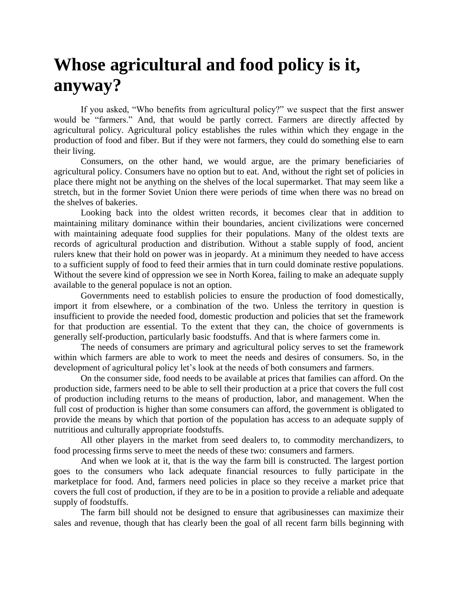## **Whose agricultural and food policy is it, anyway?**

If you asked, "Who benefits from agricultural policy?" we suspect that the first answer would be "farmers." And, that would be partly correct. Farmers are directly affected by agricultural policy. Agricultural policy establishes the rules within which they engage in the production of food and fiber. But if they were not farmers, they could do something else to earn their living.

Consumers, on the other hand, we would argue, are the primary beneficiaries of agricultural policy. Consumers have no option but to eat. And, without the right set of policies in place there might not be anything on the shelves of the local supermarket. That may seem like a stretch, but in the former Soviet Union there were periods of time when there was no bread on the shelves of bakeries.

Looking back into the oldest written records, it becomes clear that in addition to maintaining military dominance within their boundaries, ancient civilizations were concerned with maintaining adequate food supplies for their populations. Many of the oldest texts are records of agricultural production and distribution. Without a stable supply of food, ancient rulers knew that their hold on power was in jeopardy. At a minimum they needed to have access to a sufficient supply of food to feed their armies that in turn could dominate restive populations. Without the severe kind of oppression we see in North Korea, failing to make an adequate supply available to the general populace is not an option.

Governments need to establish policies to ensure the production of food domestically, import it from elsewhere, or a combination of the two. Unless the territory in question is insufficient to provide the needed food, domestic production and policies that set the framework for that production are essential. To the extent that they can, the choice of governments is generally self-production, particularly basic foodstuffs. And that is where farmers come in.

The needs of consumers are primary and agricultural policy serves to set the framework within which farmers are able to work to meet the needs and desires of consumers. So, in the development of agricultural policy let's look at the needs of both consumers and farmers.

On the consumer side, food needs to be available at prices that families can afford. On the production side, farmers need to be able to sell their production at a price that covers the full cost of production including returns to the means of production, labor, and management. When the full cost of production is higher than some consumers can afford, the government is obligated to provide the means by which that portion of the population has access to an adequate supply of nutritious and culturally appropriate foodstuffs.

All other players in the market from seed dealers to, to commodity merchandizers, to food processing firms serve to meet the needs of these two: consumers and farmers.

And when we look at it, that is the way the farm bill is constructed. The largest portion goes to the consumers who lack adequate financial resources to fully participate in the marketplace for food. And, farmers need policies in place so they receive a market price that covers the full cost of production, if they are to be in a position to provide a reliable and adequate supply of foodstuffs.

The farm bill should not be designed to ensure that agribusinesses can maximize their sales and revenue, though that has clearly been the goal of all recent farm bills beginning with